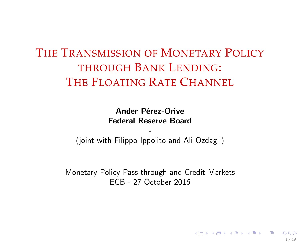## THE TRANSMISSION OF MONETARY POLICY THROUGH BANK LENDING: THE FLOATING RATE CHANNEL

Ander Pérez-Orive Federal Reserve Board

- (joint with Filippo Ippolito and Ali Ozdagli)

Monetary Policy Pass-through and Credit Markets ECB - 27 October 2016

<span id="page-0-0"></span>1 / 49

 $A \cup B \cup A \cap B \cup A \subseteq B \cup A \subseteq B \cup B$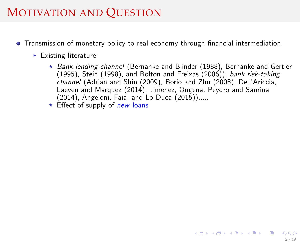### MOTIVATION AND QUESTION

- **•** Transmission of monetary policy to real economy through financial intermediation
	- $\blacktriangleright$  Existing literature:
		- $\star$  Bank lending channel (Bernanke and Blinder (1988), Bernanke and Gertler (1995), Stein (1998), and Bolton and Freixas (2006)), bank risk-taking channel (Adrian and Shin (2009), Borio and Zhu (2008), Dell'Ariccia, Laeven and Marquez (2014), Jimenez, Ongena, Peydro and Saurina (2014), Angeloni, Faia, and Lo Duca (2015)),....
		- $\star$  Effect of supply of new loans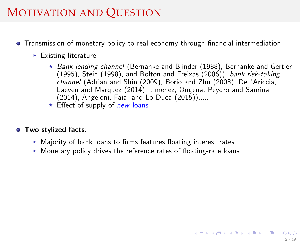## MOTIVATION AND QUESTION

- **•** Transmission of monetary policy to real economy through financial intermediation
	- $\blacktriangleright$  Existing literature:
		- $\star$  Bank lending channel (Bernanke and Blinder (1988), Bernanke and Gertler (1995), Stein (1998), and Bolton and Freixas (2006)), bank risk-taking channel (Adrian and Shin (2009), Borio and Zhu (2008), Dell'Ariccia, Laeven and Marquez (2014), Jimenez, Ongena, Peydro and Saurina (2014), Angeloni, Faia, and Lo Duca (2015)),....

2 / 49

メロトメ 御 トメ 君 トメ 君 トー 君

 $\star$  Effect of supply of new loans

#### **• Two stylized facts:**

- $\triangleright$  Majority of bank loans to firms features floating interest rates
- $\triangleright$  Monetary policy drives the reference rates of floating-rate loans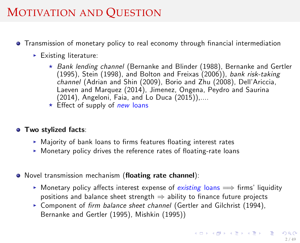## MOTIVATION AND QUESTION

- **•** Transmission of monetary policy to real economy through financial intermediation
	- $\blacktriangleright$  Existing literature:
		- $\star$  Bank lending channel (Bernanke and Blinder (1988), Bernanke and Gertler (1995), Stein (1998), and Bolton and Freixas (2006)), bank risk-taking channel (Adrian and Shin (2009), Borio and Zhu (2008), Dell'Ariccia, Laeven and Marquez (2014), Jimenez, Ongena, Peydro and Saurina (2014), Angeloni, Faia, and Lo Duca (2015)),....
		- $\star$  Effect of supply of new loans

#### **• Two stylized facts:**

- $\triangleright$  Majority of bank loans to firms features floating interest rates
- $\triangleright$  Monetary policy drives the reference rates of floating-rate loans
- Novel transmission mechanism (floating rate channel):
	- **I** Monetary policy affects interest expense of existing loans  $\implies$  firms' liquidity positions and balance sheet strength  $\Rightarrow$  ability to finance future projects
	- $\triangleright$  Component of firm balance sheet channel (Gertler and Gilchrist (1994), Bernanke and Gertler (1995), Mishkin (1995))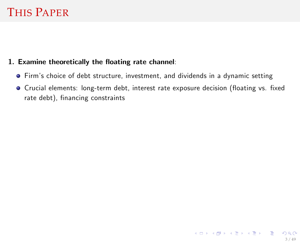### THIS PAPER

#### 1. Examine theoretically the floating rate channel:

- Firmís choice of debt structure, investment, and dividends in a dynamic setting
- $\bullet$  Crucial elements: long-term debt, interest rate exposure decision (floating vs. fixed rate debt), financing constraints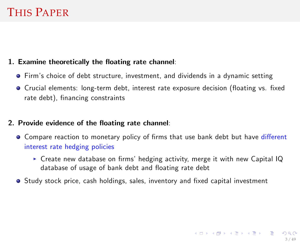### THIS PAPER

#### 1. Examine theoretically the floating rate channel:

- Firmís choice of debt structure, investment, and dividends in a dynamic setting
- **•** Crucial elements: long-term debt, interest rate exposure decision (floating vs. fixed rate debt), financing constraints

#### 2. Provide evidence of the floating rate channel:

- Compare reaction to monetary policy of firms that use bank debt but have different interest rate hedging policies
	- $\triangleright$  Create new database on firms' hedging activity, merge it with new Capital IQ database of usage of bank debt and floating rate debt
- Study stock price, cash holdings, sales, inventory and fixed capital investment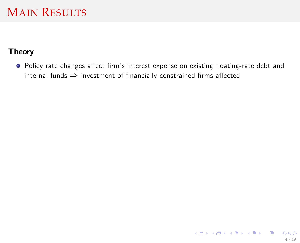#### Theory

• Policy rate changes affect firm's interest expense on existing floating-rate debt and internal funds  $\Rightarrow$  investment of financially constrained firms affected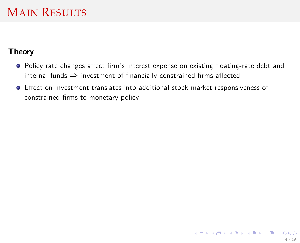#### Theory

- Policy rate changes affect firm's interest expense on existing floating-rate debt and internal funds  $\Rightarrow$  investment of financially constrained firms affected
- Effect on investment translates into additional stock market responsiveness of constrained firms to monetary policy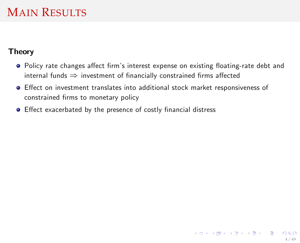#### Theory

- Policy rate changes affect firm's interest expense on existing floating-rate debt and internal funds  $\Rightarrow$  investment of financially constrained firms affected
- Effect on investment translates into additional stock market responsiveness of constrained firms to monetary policy
- Effect exacerbated by the presence of costly financial distress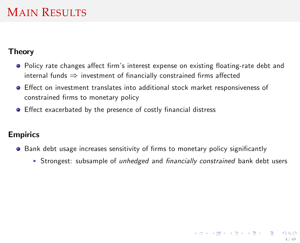#### Theory

- Policy rate changes affect firm's interest expense on existing floating-rate debt and internal funds  $\Rightarrow$  investment of financially constrained firms affected
- Effect on investment translates into additional stock market responsiveness of constrained firms to monetary policy
- Effect exacerbated by the presence of costly financial distress

#### Empirics

- $\bullet$  Bank debt usage increases sensitivity of firms to monetary policy significantly
	- **F** Strongest: subsample of unhedged and financially constrained bank debt users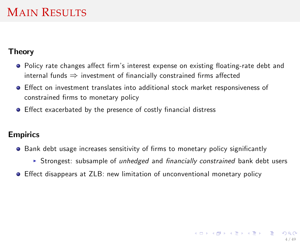#### Theory

- Policy rate changes affect firm's interest expense on existing floating-rate debt and internal funds  $\Rightarrow$  investment of financially constrained firms affected
- Effect on investment translates into additional stock market responsiveness of constrained firms to monetary policy
- Effect exacerbated by the presence of costly financial distress

#### **Empirics**

- $\bullet$  Bank debt usage increases sensitivity of firms to monetary policy significantly
	- **F** Strongest: subsample of *unhedged* and *financially constrained* bank debt users
- Effect disappears at ZLB: new limitation of unconventional monetary policy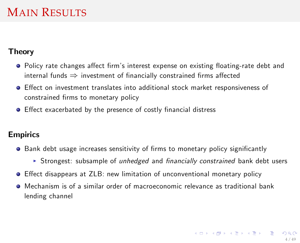#### Theory

- Policy rate changes affect firm's interest expense on existing floating-rate debt and internal funds  $\Rightarrow$  investment of financially constrained firms affected
- **•** Effect on investment translates into additional stock market responsiveness of constrained firms to monetary policy
- Effect exacerbated by the presence of costly financial distress

#### **Empirics**

- $\bullet$  Bank debt usage increases sensitivity of firms to monetary policy significantly
	- **F** Strongest: subsample of *unhedged* and *financially constrained* bank debt users
- Effect disappears at ZLB: new limitation of unconventional monetary policy
- Mechanism is of a similar order of macroeconomic relevance as traditional bank lending channel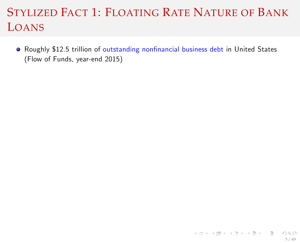• Roughly \$12.5 trillion of outstanding nonfinancial business debt in United States (Flow of Funds, year-end 2015)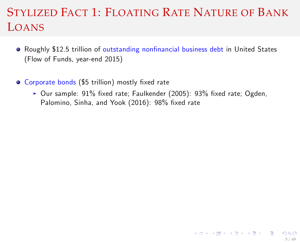- Roughly \$12.5 trillion of outstanding nonfinancial business debt in United States (Flow of Funds, year-end 2015)
- Corporate bonds (\$5 trillion) mostly fixed rate
	- $\triangleright$  Our sample: 91% fixed rate; Faulkender (2005): 93% fixed rate; Ogden, Palomino, Sinha, and Yook (2016): 98% fixed rate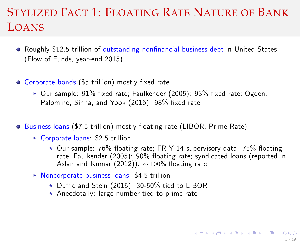- Roughly \$12.5 trillion of outstanding nonfinancial business debt in United States (Flow of Funds, year-end 2015)
- Corporate bonds (\$5 trillion) mostly fixed rate
	- $\triangleright$  Our sample: 91% fixed rate; Faulkender (2005): 93% fixed rate; Ogden, Palomino, Sinha, and Yook (2016): 98% fixed rate
- $\bullet$  Business loans (\$7.5 trillion) mostly floating rate (LIBOR, Prime Rate)
	- $\triangleright$  Corporate loans: \$2.5 trillion
		- $\star$  Our sample: 76% floating rate: FR Y-14 supervisory data: 75% floating rate; Faulkender (2005): 90% floating rate; syndicated loans (reported in Aslan and Kumar (2012)):  $\sim$  100% floating rate

5 / 49

**KOD KARD KED KED E YORD** 

- $\triangleright$  Noncorporate business loans: \$4.5 trillion
	- $\star$  Duffie and Stein (2015): 30-50% tied to LIBOR
	- $\star$  Anecdotally: large number tied to prime rate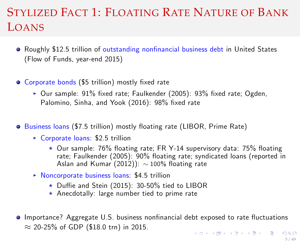- Roughly \$12.5 trillion of outstanding nonfinancial business debt in United States (Flow of Funds, year-end 2015)
- Corporate bonds (\$5 trillion) mostly fixed rate
	- $\triangleright$  Our sample: 91% fixed rate; Faulkender (2005): 93% fixed rate; Ogden, Palomino, Sinha, and Yook (2016): 98% fixed rate
- **•** Business loans (\$7.5 trillion) mostly floating rate (LIBOR, Prime Rate)
	- $\triangleright$  Corporate loans: \$2.5 trillion
		- $\star$  Our sample: 76% floating rate: FR Y-14 supervisory data: 75% floating rate; Faulkender (2005): 90% floating rate; syndicated loans (reported in Aslan and Kumar (2012)):  $\sim$  100% floating rate
	- $\triangleright$  Noncorporate business loans: \$4.5 trillion
		- $\star$  Duffie and Stein (2015): 30-50% tied to LIBOR
		- $\star$  Anecdotally: large number tied to prime rate
- **Importance? Aggregate U.S. business nonfinancial debt exposed to rate fluctuations**  $\approx$  20-25% of GDP (\$18.0 trn) in 2015.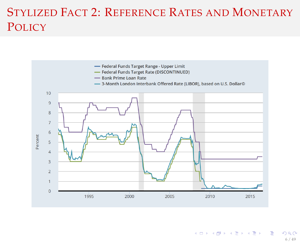## STYLIZED FACT 2: REFERENCE RATES AND MONETARY **POLICY**

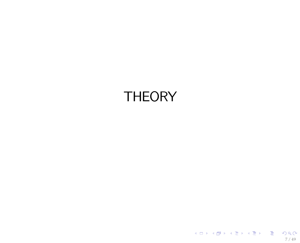# **THEORY**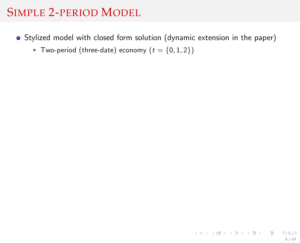- Stylized model with closed form solution (dynamic extension in the paper)
	- Two-period (three-date) economy ( $t = \{0, 1, 2\}$ )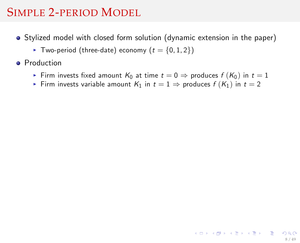- Stylized model with closed form solution (dynamic extension in the paper)
	- Two-period (three-date) economy ( $t = \{0, 1, 2\}$ )
- **•** Production
	- Firm invests fixed amount  $K_0$  at time  $t = 0 \Rightarrow$  produces  $f(K_0)$  in  $t = 1$
	- Firm invests variable amount  $K_1$  in  $t = 1 \Rightarrow$  produces  $f(K_1)$  in  $t = 2$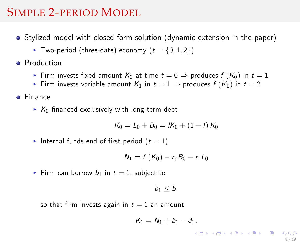- Stylized model with closed form solution (dynamic extension in the paper)
	- Two-period (three-date) economy ( $t = \{0, 1, 2\}$ )
- **Production** 
	- Firm invests fixed amount  $K_0$  at time  $t = 0 \Rightarrow$  produces  $f(K_0)$  in  $t = 1$
	- Firm invests variable amount  $K_1$  in  $t = 1 \Rightarrow$  produces  $f(K_1)$  in  $t = 2$
- **o** Finance
	- $\triangleright$  K<sub>0</sub> financed exclusively with long-term debt

$$
K_0 = L_0 + B_0 = lK_0 + (1 - l) K_0
$$

Internal funds end of first period  $(t = 1)$ 

$$
N_1 = f(K_0) - r_c B_0 - r_1 L_0
$$

Firm can borrow  $b_1$  in  $t = 1$ , subject to

$$
b_1\leq \bar{b},
$$

so that firm invests again in  $t = 1$  an amount

$$
K_1=N_1+b_1-d_1.
$$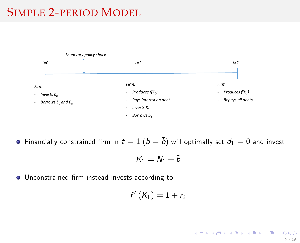

**•** Financially constrained firm in  $t = 1$  ( $b = \bar{b}$ ) will optimally set  $d_1 = 0$  and invest

$$
\mathit{K}_1=\mathit{N}_1+\bar{\mathit{b}}
$$

 $\bullet$  Unconstrained firm instead invests according to

$$
f'(K_1)=1+r_2
$$

メロトメ 御き メミドメミドル 差  $QQQ$ 9 / 49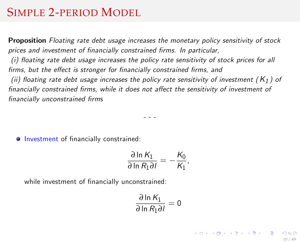Proposition Floating rate debt usage increases the monetary policy sensitivity of stock prices and investment of financially constrained firms. In particular,

 $(i)$  floating rate debt usage increases the policy rate sensitivity of stock prices for all firms, but the effect is stronger for financially constrained firms, and

(ii) floating rate debt usage increases the policy rate sensitivity of investment ( $K_1$ ) of financially constrained firms, while it does not affect the sensitivity of investment of financially unconstrained firms

- - -

 $\circ$  Investment of financially constrained:

$$
\frac{\partial \ln K_1}{\partial \ln R_1 \partial I} = -\frac{K_0}{K_1},
$$

while investment of financially unconstrained:

$$
\frac{\partial \ln K_1}{\partial \ln R_1 \partial l} = 0
$$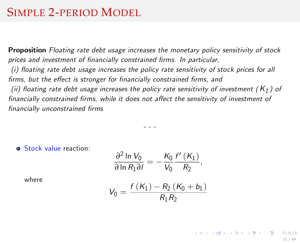Proposition Floating rate debt usage increases the monetary policy sensitivity of stock prices and investment of financially constrained firms. In particular,

 $(i)$  floating rate debt usage increases the policy rate sensitivity of stock prices for all firms, but the effect is stronger for financially constrained firms, and

(ii) floating rate debt usage increases the policy rate sensitivity of investment ( $K_1$ ) of financially constrained firms, while it does not affect the sensitivity of investment of financially unconstrained firms

- - -

**Stock value reaction:** 

$$
\frac{\partial^2 \ln V_0}{\partial \ln R_1 \partial I} = -\frac{K_0}{V_0} \frac{f'(K_1)}{R_2},
$$

where

$$
V_0 = \frac{f(K_1) - R_2(K_0 + b_1)}{R_1 R_2}
$$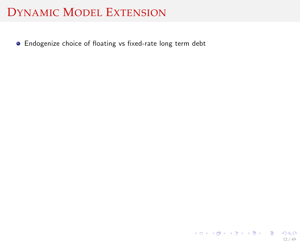**•** Endogenize choice of floating vs fixed-rate long term debt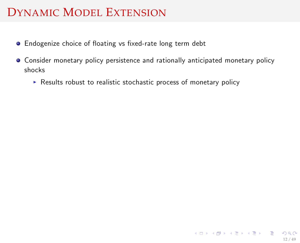- **•** Endogenize choice of floating vs fixed-rate long term debt
- Consider monetary policy persistence and rationally anticipated monetary policy shocks
	- $\triangleright$  Results robust to realistic stochastic process of monetary policy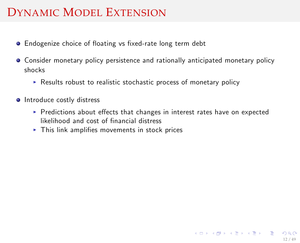- Endogenize choice of floating vs fixed-rate long term debt
- Consider monetary policy persistence and rationally anticipated monetary policy shocks
	- $\triangleright$  Results robust to realistic stochastic process of monetary policy
- **Introduce costly distress** 
	- $\triangleright$  Predictions about effects that changes in interest rates have on expected likelihood and cost of financial distress
	- $\blacktriangleright$  This link amplifies movements in stock prices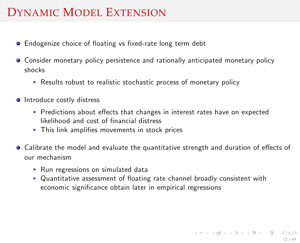- Endogenize choice of floating vs fixed-rate long term debt
- Consider monetary policy persistence and rationally anticipated monetary policy shocks
	- $\triangleright$  Results robust to realistic stochastic process of monetary policy
- **Introduce costly distress** 
	- $\triangleright$  Predictions about effects that changes in interest rates have on expected likelihood and cost of financial distress
	- $\blacktriangleright$  This link amplifies movements in stock prices
- Calibrate the model and evaluate the quantitative strength and duration of effects of our mechanism
	- $\triangleright$  Run regressions on simulated data
	- $\triangleright$  Quantitative assessment of floating rate channel broadly consistent with economic significance obtain later in empirical regressions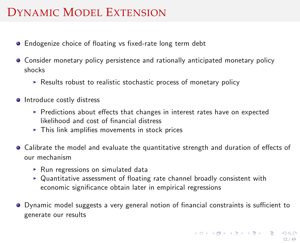- Endogenize choice of floating vs fixed-rate long term debt
- Consider monetary policy persistence and rationally anticipated monetary policy shocks
	- $\triangleright$  Results robust to realistic stochastic process of monetary policy
- **Introduce costly distress** 
	- $\triangleright$  Predictions about effects that changes in interest rates have on expected likelihood and cost of financial distress
	- $\blacktriangleright$  This link amplifies movements in stock prices
- Calibrate the model and evaluate the quantitative strength and duration of effects of our mechanism
	- $\triangleright$  Run regressions on simulated data
	- $\triangleright$  Quantitative assessment of floating rate channel broadly consistent with economic significance obtain later in empirical regressions
- <span id="page-28-0"></span>● Dynamic model suggests a very general notion of financial constraints is sufficient to generate our results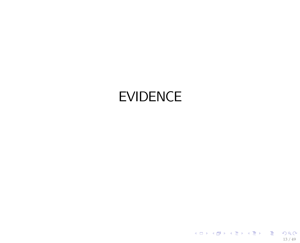# <span id="page-29-0"></span>EVIDENCE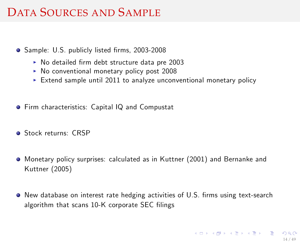## DATA SOURCES AND SAMPLE

- Sample: U.S. publicly listed firms, 2003-2008
	- $\triangleright$  No detailed firm debt structure data pre 2003
	- $\triangleright$  No conventional monetary policy post 2008
	- Extend sample until 2011 to analyze unconventional monetary policy
- Firm characteristics: Capital IQ and Compustat
- **Stock returns: CRSP**
- Monetary policy surprises: calculated as in Kuttner (2001) and Bernanke and Kuttner (2005)
- New database on interest rate hedging activities of U.S. firms using text-search algorithm that scans 10-K corporate SEC filings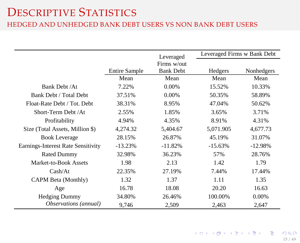#### DESCRIPTIVE STATISTICS

#### HEDGED AND UNHEDGED BANK DEBT USERS VS NON BANK DEBT USERS

|                                    |                      | Leveraged        |           | Leveraged Firms w Bank Debt |
|------------------------------------|----------------------|------------------|-----------|-----------------------------|
|                                    |                      | Firms w/out      |           |                             |
|                                    | <b>Entire Sample</b> | <b>Bank Debt</b> | Hedgers   | Nonhedgers                  |
|                                    | Mean                 | Mean             | Mean      | Mean                        |
| Bank Debt / At                     | 7.22%                | $0.00\%$         | 15.52%    | 10.33%                      |
| Bank Debt / Total Debt             | 37.51%               | $0.00\%$         | 50.35%    | 58.89%                      |
| Float-Rate Debt / Tot. Debt        | 38.31%               | 8.95%            | 47.04%    | 50.62%                      |
| Short-Term Debt /At                | 2.55%                | 1.85%            | 3.65%     | 3.71%                       |
| Profitability                      | 4.94%                | 4.35%            | 8.91%     | 4.31%                       |
| Size (Total Assets, Million \$)    | 4,274.32             | 5,404.67         | 5,071.905 | 4,677.73                    |
| <b>Book Leverage</b>               | 28.15%               | 26.87%           | 45.19%    | 31.07%                      |
| Earnings-Interest Rate Sensitivity | $-13.23%$            | $-11.82%$        | $-15.63%$ | $-12.98%$                   |
| <b>Rated Dummy</b>                 | 32.98%               | 36.23%           | 57%       | 28.76%                      |
| Market-to-Book Assets              | 1.98                 | 2.13             | 1.42      | 1.79                        |
| Cash/At                            | 22.35%               | 27.19%           | 7.44%     | 17.44%                      |
| CAPM Beta (Monthly)                | 1.32                 | 1.37             | 1.11      | 1.35                        |
| Age                                | 16.78                | 18.08            | 20.20     | 16.63                       |
| <b>Hedging Dummy</b>               | 34.80%               | 26.46%           | 100.00%   | 0.00%                       |
| Observations (annual)              | 9,746                | 2,509            | 2,463     | 2,647                       |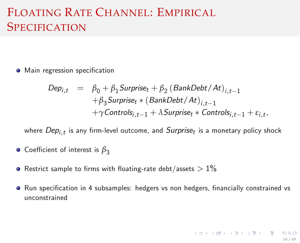## FLOATING RATE CHANNEL: EMPIRICAL **SPECIFICATION**

• Main regression specification

$$
Depi,t = \beta_0 + \beta_1\text{Surprise}_{t} + \beta_2 (\text{BankDebt}/At)_{i,t-1}
$$
  
+  $\beta_3$ Surprise<sub>t</sub> \* (BankDebt/At)\_{i,t-1}  
+  $\gamma$  Controls<sub>i,t-1</sub> +  $\lambda$ Surprise<sub>t</sub> \* Controls<sub>i,t-1</sub> +  $\varepsilon_{i,t}$ ,

where  $Dep_{i,t}$  is any firm-level outcome, and  $Surprise_t$  is a monetary policy shock

- **o** Coefficient of interest is  $β_3$
- **•** Restrict sample to firms with floating-rate debt/assets  $> 1\%$
- <sup>O</sup> Run specification in 4 subsamples: hedgers vs non hedgers, financially constrained vs unconstrained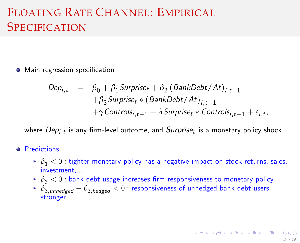## FLOATING RATE CHANNEL: EMPIRICAL SPECIFICATION

• Main regression specification

$$
Depi,t = \beta_0 + \beta_1\text{Surprise}_{t} + \beta_2 (\text{BankDebt}/\text{At})_{i,t-1}
$$
  
+  $\beta_3$ Surprise<sub>t</sub> \* (BankDebt/ $At$ )<sub>i,t-1</sub>  
+  $\gamma$ Controls<sub>i,t-1</sub> +  $\lambda$ Surprise<sub>t</sub> \* Controls<sub>i,t-1</sub> +  $\varepsilon_{i,t}$ ,

where  $Dep_{i,t}$  is any firm-level outcome, and  $Surprise_t$  is a monetary policy shock

- **o** Predictions:
	- $\delta_1$  < 0 : tighter monetary policy has a negative impact on stock returns, sales, investment,...
	- $\delta$ <sub>3</sub> < 0 : bank debt usage increases firm responsiveness to monetary policy
	- $\triangleright$   $\beta_{3.\text{unhedge}} \beta_{3.\text{hedge}} < 0$ : responsiveness of unhedged bank debt users stronger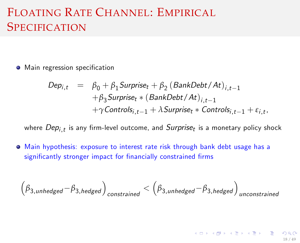## FLOATING RATE CHANNEL: EMPIRICAL SPECIFICATION

• Main regression specification

$$
Depi,t = \beta_0 + \beta_1\text{Surprise}_{t} + \beta_2 (\text{BankDebt}/At)_{i,t-1}
$$
  
+  $\beta_3$ Surprise<sub>t</sub> \* (BankDebt/At)<sub>i,t-1</sub>  
+  $\gamma$ Controls<sub>i,t-1</sub> +  $\lambda$ Surprise<sub>t</sub> \* Controls<sub>i,t-1</sub> +  $\varepsilon_{i,t}$ ,

where  $Dep_{i,t}$  is any firm-level outcome, and  $Surprise_t$  is a monetary policy shock

Main hypothesis: exposure to interest rate risk through bank debt usage has a significantly stronger impact for financially constrained firms

$$
\Big(\beta_{3,unhedge} - \beta_{3,hedge}\Big)_{constrained} < \Big(\beta_{3,unhedge} - \beta_{3,hedge}\Big)_{unconstrained}
$$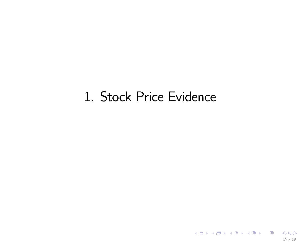# 1. Stock Price Evidence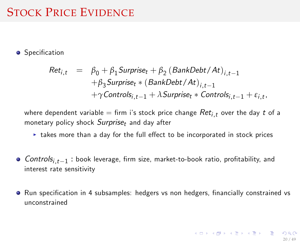### STOCK PRICE EVIDENCE

#### **•** Specification

$$
Ret_{i,t} = \beta_0 + \beta_1 \text{Surprise}_t + \beta_2 \left(\text{BankDebt}/\text{At}\right)_{i,t-1} + \beta_3 \text{Surprise}_t * \left(\text{BankDebt}/\text{At}\right)_{i,t-1} + \gamma \text{Controls}_{i,t-1} + \lambda \text{Surprise}_t * \text{Controls}_{i,t-1} + \varepsilon_{i,t},
$$

where dependent variable = firm i's stock price change  $Ret_{i,t}$  over the day t of a monetary policy shock  $Surprise_t$  and day after

- $\triangleright$  takes more than a day for the full effect to be incorporated in stock prices
- $\textit{Controls}_{i,t-1}$  : book leverage, firm size, market-to-book ratio, profitability, and interest rate sensitivity
- Run specification in 4 subsamples: hedgers vs non hedgers, financially constrained vs unconstrained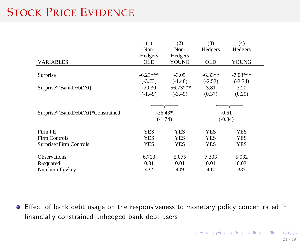## STOCK PRICE EVIDENCE

|                                    | (1)        | (2)         | (3)        | (4)        |
|------------------------------------|------------|-------------|------------|------------|
|                                    | Non-       | Non-        | Hedgers    | Hedgers    |
|                                    | Hedgers    | Hedgers     |            |            |
| <b>VARIABLES</b>                   | <b>OLD</b> | YOUNG       | <b>OLD</b> | YOUNG      |
|                                    |            |             |            |            |
| Surprise                           | $-6.23***$ | $-3.05$     | $-6.33**$  | $-7.03***$ |
|                                    | $(-3.73)$  | $(-1.48)$   | $(-2.52)$  | $(-2.74)$  |
| Surprise*(BankDebt/At)             | $-20.30$   | $-56.73***$ | 3.81       | 3.20       |
|                                    | $(-1.49)$  | $(-3.49)$   | (0.37)     | (0.29)     |
|                                    |            |             |            |            |
| Surprise*(BankDebt/At)*Constrained |            | $-36.43*$   |            | $-0.61$    |
|                                    |            | $(-1.74)$   |            | $(-0.04)$  |
| Firm FE                            | <b>YES</b> | YES         | <b>YES</b> | <b>YES</b> |
| <b>Firm Controls</b>               | <b>YES</b> | YES         | <b>YES</b> | <b>YES</b> |
| Surprise*Firm Controls             | YES        | YES         | YES        | <b>YES</b> |
|                                    |            |             |            |            |
| <b>Observations</b>                | 6,713      | 5,075       | 7,303      | 5,032      |
| R-squared                          | 0.01       | 0.01        | 0.01       | 0.02       |
| Number of gykey                    | 432        | 409         | 407        | 337        |

● Effect of bank debt usage on the responsiveness to monetary policy concentrated in financially constrained unhedged bank debt users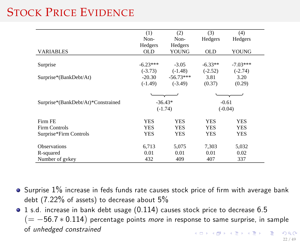## STOCK PRICE EVIDENCE

|                                    | (1)        | (2)         | (3)        | (4)        |  |
|------------------------------------|------------|-------------|------------|------------|--|
|                                    | Non-       | Non-        | Hedgers    | Hedgers    |  |
|                                    | Hedgers    | Hedgers     |            |            |  |
| <b>VARIABLES</b>                   | <b>OLD</b> | YOUNG       | <b>OLD</b> | YOUNG      |  |
|                                    |            |             |            |            |  |
| Surprise                           | $-6.23***$ | $-3.05$     | $-6.33**$  | $-7.03***$ |  |
|                                    | $(-3.73)$  | $(-1.48)$   | $(-2.52)$  | $(-2.74)$  |  |
| Surprise*(BankDebt/At)             | $-20.30$   | $-56.73***$ | 3.81       | 3.20       |  |
|                                    | $(-1.49)$  | $(-3.49)$   | (0.37)     | (0.29)     |  |
|                                    |            |             |            |            |  |
| Surprise*(BankDebt/At)*Constrained |            | $-36.43*$   |            | $-0.61$    |  |
|                                    |            | $(-1.74)$   |            | $(-0.04)$  |  |
| Firm FE                            | <b>YES</b> | <b>YES</b>  | <b>YES</b> | <b>YES</b> |  |
| <b>Firm Controls</b>               | <b>YES</b> | <b>YES</b>  | <b>YES</b> | <b>YES</b> |  |
| Surprise*Firm Controls             | YES        | <b>YES</b>  | <b>YES</b> | <b>YES</b> |  |
|                                    |            |             |            |            |  |
| <b>Observations</b>                | 6,713      | 5,075       | 7,303      | 5,032      |  |
| R-squared                          | 0.01       | 0.01        | 0.01       | 0.02       |  |
| Number of gykey                    | 432        | 409         | 407        | 337        |  |

- $\bullet$  Surprise  $1\%$  increase in feds funds rate causes stock price of firm with average bank debt (7.22% of assets) to decrease about 5%
- 1 s.d. increase in bank debt usage (0.114) causes stock price to decrease 6.5  $(=-56.7 * 0.114)$  percentage points more in response to same surprise, in sample of unhedged constrained メロトメ 御 トメ 君 トメ 君 トー 君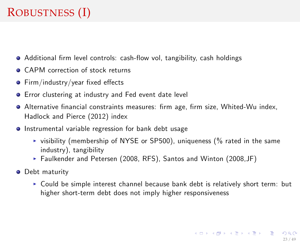## ROBUSTNESS (I)

- Additional firm level controls: cash-flow vol, tangibility, cash holdings
- **CAPM** correction of stock returns
- $\bullet$  Firm/industry/year fixed effects
- Error clustering at industry and Fed event date level
- Alternative Önancial constraints measures: Örm age, Örm size, Whited-Wu index, Hadlock and Pierce (2012) index
- **•** Instrumental variable regression for bank debt usage
	- $\triangleright$  visibility (membership of NYSE or SP500), uniqueness (% rated in the same industry), tangibility
	- ▶ Faulkender and Petersen (2008, RFS), Santos and Winton (2008, JF)
- **O** Debt maturity
	- $\triangleright$  Could be simple interest channel because bank debt is relatively short term: but higher short-term debt does not imply higher responsiveness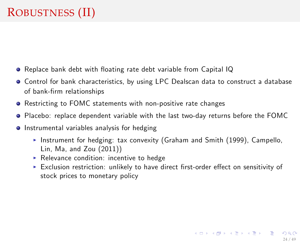## ROBUSTNESS (II)

- Replace bank debt with floating rate debt variable from Capital IQ
- Control for bank characteristics, by using LPC Dealscan data to construct a database of bank-Örm relationships
- Restricting to FOMC statements with non-positive rate changes
- Placebo: replace dependent variable with the last two-day returns before the FOMC
- **•** Instrumental variables analysis for hedging
	- Instrument for hedging: tax convexity (Graham and Smith (1999), Campello, Lin, Ma, and Zou (2011))
	- $\triangleright$  Relevance condition: incentive to hedge
	- $\triangleright$  Exclusion restriction: unlikely to have direct first-order effect on sensitivity of stock prices to monetary policy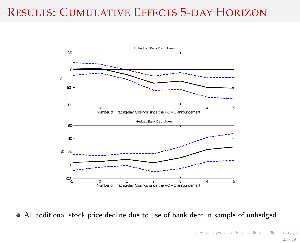### RESULTS: CUMULATIVE EFFECTS 5-DAY HORIZON



All additional stock price decline due to use of bank debt in sample of unhedged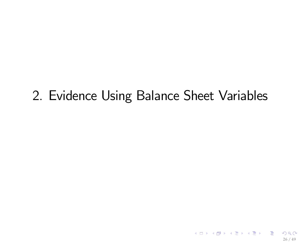# 2. Evidence Using Balance Sheet Variables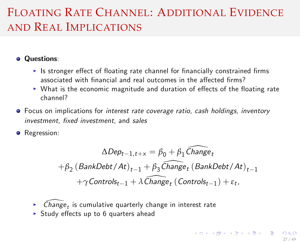## FLOATING RATE CHANNEL: ADDITIONAL EVIDENCE AND REAL IMPLICATIONS

**Ouestions:** 

- In Its stronger effect of floating rate channel for financially constrained firms associated with financial and real outcomes in the affected firms?
- $\triangleright$  What is the economic magnitude and duration of effects of the floating rate channel?
- Focus on implications for *interest rate coverage ratio, cash holdings, inventory* investment, fixed investment, and sales

**•** Regression:

$$
\Delta Dep_{t-1,t+x} = \beta_0 + \beta_1 \widehat{Change}_t
$$

$$
+\beta_2 (BankDebt/At)_{t-1} + \beta_3 \widehat{Change}_t (BankDebt/At)_{t-1}
$$

$$
+\gamma Controls_{t-1} + \lambda \widehat{Change}_t (Controls_{t-1}) + \varepsilon_t,
$$

- $\blacktriangleright$  -Change $_t$  is cumulative quarterly change in interest rate
- $\triangleright$  Study effects up to 6 quarters ahead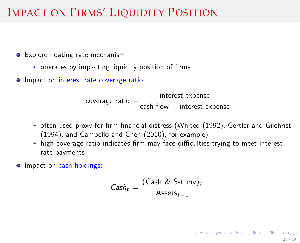### IMPACT ON FIRMS' LIQUIDITY POSITION

- Explore floating rate mechanism
	- $\triangleright$  operates by impacting liquidity position of firms
- $\bullet$  Impact on interest rate coverage ratio:

coverage ratio = interest expense  $\mathsf{cash}\text{-}\mathsf{flow}\ +\ \mathsf{interest}\ \mathsf{expense}$ 

- $\triangleright$  often used proxy for firm financial distress (Whited (1992), Gertler and Gilchrist (1994), and Campello and Chen (2010), for example)
- $\triangleright$  high coverage ratio indicates firm may face difficulties trying to meet interest rate payments
- **Impact on cash holdings:**

$$
\mathsf{Cash}_{t} = \frac{(\mathsf{Cash} \& \mathsf{S-t} \text{ inv})_{t}}{\mathsf{Assets}_{t-1}}.
$$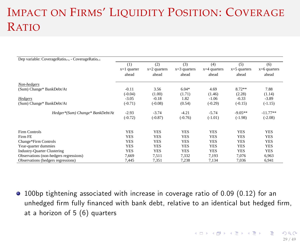# IMPACT ON FIRMS' LIQUIDITY POSITION: COVERAGE RATIO

| Dep variable: CoverageRatio <sub>t+x</sub> - CoverageRatio <sub>t-1</sub> |               |                |                |                |                |                |
|---------------------------------------------------------------------------|---------------|----------------|----------------|----------------|----------------|----------------|
|                                                                           | (1)           | (2)            | (3)            | (4)            | (5)            | (6)            |
|                                                                           | $x=1$ quarter | $x=2$ quarters | $x=3$ quarters | $x=4$ quarters | $x=5$ quarters | $x=6$ quarters |
|                                                                           | ahead         | ahead          | ahead          | ahead          | ahead          | ahead          |
| Non-hedgers                                                               |               |                |                |                |                |                |
| (Sum) Change* BankDebt/At                                                 | $-0.11$       | 3.56           | $6.04*$        | 4.69           | $8.72**$       | 7.88           |
|                                                                           | $(-0.04)$     | (1.00)         | (1.71)         | (1.46)         | (2.28)         | (1.14)         |
| Hedgers                                                                   | $-3.05$       | $-0.18$        | 1.82           | $-1.06$        | $-0.33$        | $-3.89$        |
| (Sum) Change* BankDebt/At                                                 | $(-0.71)$     | $(-0.08)$      | (0.54)         | $(-0.29)$      | $(-0.15)$      | $(-1.15)$      |
| Hedger*(Sum) Change* BankDebt/At                                          | $-2.93$       | $-3.74$        | $-4.21$        | $-5.74$        | $-9.05**$      | $-11.77**$     |
|                                                                           | $(-0.72)$     | $(-0.87)$      | $(-0.76)$      | $(-1.01)$      | $(-1.98)$      | $(-2.08)$      |
|                                                                           |               |                |                |                |                |                |
| Firm Controls                                                             | <b>YES</b>    | <b>YES</b>     | <b>YES</b>     | <b>YES</b>     | <b>YES</b>     | <b>YES</b>     |
| Firm FE                                                                   | <b>YES</b>    | <b>YES</b>     | <b>YES</b>     | <b>YES</b>     | <b>YES</b>     | <b>YES</b>     |
| Change*Firm Controls                                                      | <b>YES</b>    | <b>YES</b>     | <b>YES</b>     | <b>YES</b>     | <b>YES</b>     | <b>YES</b>     |
| Year-quarter dummies                                                      | <b>YES</b>    | <b>YES</b>     | <b>YES</b>     | <b>YES</b>     | <b>YES</b>     | <b>YES</b>     |
| <b>Industry-Quarter Clustering</b>                                        | <b>YES</b>    | <b>YES</b>     | <b>YES</b>     | <b>YES</b>     | <b>YES</b>     | <b>YES</b>     |
| Observations (non-hedgers regressions)                                    | 7.669         | 7.511          | 7.332          | 7,193          | 7.076          | 6,963          |
| Observations (hedgers regressions)                                        | 7,445         | 7,351          | 7,238          | 7,134          | 7,036          | 6,941          |

<span id="page-45-0"></span>100bp tightening associated with increase in coverage ratio of 0.09 (0.12) for an unhedged firm fully financed with bank debt, relative to an identical but hedged firm, at a horizon of 5 (6) quarters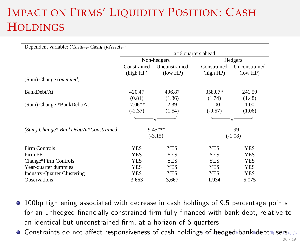# IMPACT ON FIRMS' LIQUIDITY POSITION: CASH **HOLDINGS**

| Dependent variable: $(Cash_{t+x} - Cash_{t-1})/Assets_{t-1}$ |                      |               |             |               |  |  |
|--------------------------------------------------------------|----------------------|---------------|-------------|---------------|--|--|
|                                                              | $x=6$ quarters ahead |               |             |               |  |  |
|                                                              |                      | Non-hedgers   |             | Hedgers       |  |  |
|                                                              | Constrained          | Unconstrained | Constrained | Unconstrained |  |  |
|                                                              | (high HP)            | (low HP)      | (high HP)   | (low HP)      |  |  |
| (Sum) Change ( <i>ommited</i> )                              |                      |               |             |               |  |  |
| BankDebt/At                                                  | 420.47               | 496.87        | 358.07*     | 241.59        |  |  |
|                                                              | (0.81)               | (1.36)        | (1.74)      | (1.48)        |  |  |
| (Sum) Change *BankDebt/At                                    | $-7.06**$            | 2.39          | $-1.00$     | 1.00          |  |  |
|                                                              | $(-2.37)$            | (1.54)        | $(-0.57)$   | (1.06)        |  |  |
|                                                              |                      |               |             |               |  |  |
| (Sum) Change* BankDebt/At*Constrained                        |                      | $-9.45***$    |             | $-1.99$       |  |  |
|                                                              |                      | $(-3.15)$     |             | $(-1.08)$     |  |  |
| Firm Controls                                                | <b>YES</b>           | <b>YES</b>    | <b>YES</b>  | <b>YES</b>    |  |  |
| Firm FE                                                      | YES                  | YES           | <b>YES</b>  | YES           |  |  |
| Change*Firm Controls                                         | <b>YES</b>           | <b>YES</b>    | <b>YES</b>  | <b>YES</b>    |  |  |
| Year-quarter dummies                                         | <b>YES</b>           | <b>YES</b>    | <b>YES</b>  | <b>YES</b>    |  |  |
| <b>Industry-Quarter Clustering</b>                           | <b>YES</b>           | <b>YES</b>    | <b>YES</b>  | <b>YES</b>    |  |  |
| <b>Observations</b>                                          | 3,663                | 3,667         | 1,934       | 5,075         |  |  |

- 100bp tightening associated with decrease in cash holdings of 9.5 percentage points for an unhedged financially constrained firm fully financed with bank debt, relative to an identical but unconstrained firm, at a horizon of 6 quarters
- <span id="page-46-0"></span> $\bullet$  $\bullet$  $\bullet$  Constraints do not affect responsiveness of cash holdi[ng](#page-45-0)s [of](#page-47-0)[hed](#page-46-0)[g](#page-47-0)e[d](#page-29-0) [ba](#page-69-0)[n](#page-28-0)[k](#page-29-0) [de](#page-69-0)[bt](#page-0-0) [use](#page-69-0)rs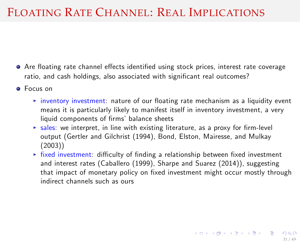### FLOATING RATE CHANNEL: REAL IMPLICATIONS

- Are floating rate channel effects identified using stock prices, interest rate coverage ratio, and cash holdings, also associated with significant real outcomes?
- <span id="page-47-0"></span>**•** Focus on
	- $\triangleright$  inventory investment: nature of our floating rate mechanism as a liquidity event means it is particularly likely to manifest itself in inventory investment, a very liquid components of firms' balance sheets
	- $\triangleright$  sales: we interpret, in line with existing literature, as a proxy for firm-level output (Gertler and Gilchrist (1994), Bond, Elston, Mairesse, and Mulkay (2003))
	- $\rightarrow$  fixed investment: difficulty of finding a relationship between fixed investment and interest rates (Caballero (1999), Sharpe and Suarez (2014)), suggesting that impact of monetary policy on fixed investment might occur mostly through indirect channels such as ours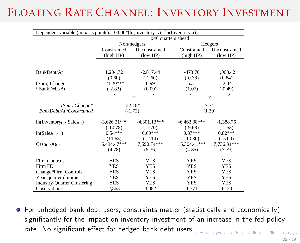## FLOATING RATE CHANNEL: INVENTORY INVESTMENT

| Dependent variable (in basis points): $10,000*(ln(Inventropy_{t+x}) - ln(Inventropy_{t-1}))$ |                                  |                                  |                                   |                                  |  |  |  |
|----------------------------------------------------------------------------------------------|----------------------------------|----------------------------------|-----------------------------------|----------------------------------|--|--|--|
|                                                                                              | x=6 quarters ahead               |                                  |                                   |                                  |  |  |  |
|                                                                                              |                                  | Non-hedgers                      |                                   | Hedgers                          |  |  |  |
|                                                                                              | Constrained<br>(high HP)         | Unconstrained<br>(low HP)        | Constrained<br>(high HP)          | Unconstrained<br>(low HP)        |  |  |  |
|                                                                                              |                                  |                                  |                                   |                                  |  |  |  |
| BankDebt/At                                                                                  | 1.204.72                         | $-2.817.44$                      | $-473.70$                         | 1.068.42                         |  |  |  |
|                                                                                              | (0.60)                           | $(-1.60)$                        | $(-0.38)$                         | (0.84)                           |  |  |  |
| (Sum) Change                                                                                 | $-21.20***$                      | 0.99                             | 5.31                              | $-2.44$                          |  |  |  |
| *BankDebt/At                                                                                 | $(-2.83)$                        | (0.09)                           | (1.07)                            | $(-0.49)$                        |  |  |  |
|                                                                                              |                                  |                                  |                                   |                                  |  |  |  |
| $(Sum) Change*$                                                                              | $-22.18*$                        |                                  |                                   | 7.74                             |  |  |  |
| <b>BankDebt/At*Constrained</b>                                                               |                                  | $(-1.72)$                        |                                   | (1.39)                           |  |  |  |
| $ln(Inventropy_{t-1}/ Sales_{t-1})$                                                          | $-3.626.21***$<br>$(-10.78)$     | $-4.301.13***$<br>$(-7.70)$      | $-6.462.38***$<br>$(-9.68)$       | $-1.388.76$<br>$(-1.53)$         |  |  |  |
| $ln(Sales_{t-1,t+x})$                                                                        | $0.54***$                        | $0.60***$                        | $0.87***$                         | $0.82***$                        |  |  |  |
| $Casht-1/Att-1$                                                                              | (11.63)<br>6,494,47***<br>(4.78) | (12.14)<br>7,590.74***<br>(5.36) | (10.30)<br>15,304.41***<br>(4.85) | (15.00)<br>7,736.34***<br>(3.79) |  |  |  |
| <b>Firm Controls</b>                                                                         | <b>YES</b>                       | <b>YES</b>                       | <b>YES</b>                        | <b>YES</b>                       |  |  |  |
| Firm FE                                                                                      | <b>YES</b>                       | YES                              | <b>YES</b>                        | <b>YES</b>                       |  |  |  |
| Change*Firm Controls                                                                         | YES                              | <b>YES</b>                       | <b>YES</b>                        | <b>YES</b>                       |  |  |  |
| Year-quarter dummies                                                                         | YES                              | <b>YES</b>                       | <b>YES</b>                        | YES                              |  |  |  |
| <b>Industry-Quarter Clustering</b>                                                           | <b>YES</b>                       | <b>YES</b>                       | <b>YES</b>                        | <b>YES</b>                       |  |  |  |
| <b>Observations</b>                                                                          | 2,863                            | 3,082                            | 1,371                             | 4,130                            |  |  |  |

For unhedged bank debt users, constraints matter (statistically and economically) significantly for the impact on inventory investment of an increase in the fed policy rate[.](#page-47-0) No significant effect for hedged bank debt users.  $\overline{a}$  in  $\overline{b}$  $\overline{AB}$   $\rightarrow$   $\overline{AB}$   $\rightarrow$   $\overline{AB}$   $\rightarrow$   $\overline{AB}$   $\rightarrow$   $\overline{BA}$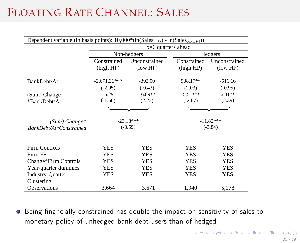## FLOATING RATE CHANNEL: SALES

| Dependent variable (in basis points): $10,000*(\ln(\text{Sales}_{t,t+X}) - \ln(\text{Sales}_{t-X-1,t-1}))$ |                |               |             |                           |  |  |
|------------------------------------------------------------------------------------------------------------|----------------|---------------|-------------|---------------------------|--|--|
| $x=6$ quarters ahead                                                                                       |                |               |             |                           |  |  |
|                                                                                                            |                | Non-hedgers   |             | Hedgers                   |  |  |
|                                                                                                            | Constrained    | Unconstrained | Constrained | Unconstrained             |  |  |
|                                                                                                            | (high HP)      | (low HP)      | (high HP)   | $\frac{1}{\text{low HP}}$ |  |  |
|                                                                                                            | $-2,671.31***$ | $-392.00$     | 938.17**    | $-516.16$                 |  |  |
| BankDebt/At                                                                                                | $(-2.95)$      | $(-0.43)$     | (2.03)      | $(-0.95)$                 |  |  |
|                                                                                                            |                |               |             |                           |  |  |
| (Sum) Change                                                                                               | $-6.29$        | $16.89**$     | $-5.51***$  | $6.31**$                  |  |  |
| *BankDebt/At                                                                                               | $(-1.60)$      | (2.23)        | $(-2.87)$   | (2.39)                    |  |  |
|                                                                                                            |                |               |             |                           |  |  |
| $(Sum) Change*$                                                                                            |                | $-23.18***$   |             | $-11.82***$               |  |  |
| BankDebt/At*Constrained                                                                                    |                | $(-3.59)$     | $(-3.84)$   |                           |  |  |
|                                                                                                            |                |               |             |                           |  |  |
| <b>Firm Controls</b>                                                                                       | <b>YES</b>     | <b>YES</b>    | <b>YES</b>  | <b>YES</b>                |  |  |
| Firm FE                                                                                                    | <b>YES</b>     | <b>YES</b>    | <b>YES</b>  | <b>YES</b>                |  |  |
| Change*Firm Controls                                                                                       | YES            | YES           | YES         | YES                       |  |  |
| Year-quarter dummies                                                                                       | <b>YES</b>     | <b>YES</b>    | <b>YES</b>  | <b>YES</b>                |  |  |
| <b>Industry-Quarter</b>                                                                                    | <b>YES</b>     | <b>YES</b>    | <b>YES</b>  | <b>YES</b>                |  |  |
| Clustering                                                                                                 |                |               |             |                           |  |  |
| <b>Observations</b>                                                                                        | 3,664          | 3,671         | 1,940       | 5,078                     |  |  |

<span id="page-49-0"></span> $\bullet$  Being financially constrained has double the impact on sensitivity of sales to monetary policy of unhedged bank debt users than of hedged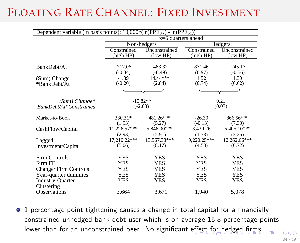## FLOATING RATE CHANNEL: FIXED INVESTMENT

| Dependent variable (in basis points): $10,000*(ln(PPEt+x) - ln(PPEt-1))$ |                          |                           |                          |                           |  |  |  |
|--------------------------------------------------------------------------|--------------------------|---------------------------|--------------------------|---------------------------|--|--|--|
|                                                                          | $x=6$ quarters ahead     |                           |                          |                           |  |  |  |
|                                                                          |                          | Non-hedgers               |                          | Hedgers                   |  |  |  |
|                                                                          | Constrained<br>(high HP) | Unconstrained<br>(low HP) | Constrained<br>(high HP) | Unconstrained<br>(low HP) |  |  |  |
| BankDebt/At                                                              | $-717.06$<br>$(-0.34)$   | $-483.32$<br>$(-0.49)$    | 831.46<br>(0.97)         | $-245.13$<br>$(-0.56)$    |  |  |  |
| (Sum) Change<br>*BankDebt/At                                             | $-1.39$<br>$(-0.20)$     | 14.44***<br>(2.84)        | 1.52<br>(0.74)           | 1.30<br>(0.62)            |  |  |  |
|                                                                          |                          |                           |                          |                           |  |  |  |
| $(Sum) Change*$<br><b>BankDebt/At*Constrained</b>                        |                          | $-15.82**$<br>$(-2.03)$   |                          | 0.21<br>(0.07)            |  |  |  |
| Market-to-Book                                                           | 330.31*<br>(1.93)        | 481.26***<br>(5.27)       | $-26.30$<br>$(-0.13)$    | 866.56***<br>(7.30)       |  |  |  |
| CashFlow/Capital                                                         | 11,226.57***<br>(2.93)   | 5,846.00***<br>(2.91)     | 3,430.26<br>(1.33)       | 5,405.10***<br>(3.26)     |  |  |  |
| Lagged                                                                   | 17,210.22***             | 13,567.38***              | 9.220.25***              | 12,262.66***              |  |  |  |
| Investment/Capital                                                       | (5.06)                   | (8.17)                    | (4.53)                   | (6.72)                    |  |  |  |
| <b>Firm Controls</b><br>Firm FE                                          | <b>YES</b><br><b>YES</b> | <b>YES</b><br><b>YES</b>  | <b>YES</b><br><b>YES</b> | <b>YES</b><br><b>YES</b>  |  |  |  |
| Change*Firm Controls                                                     | YES                      | <b>YES</b>                | <b>YES</b>               | <b>YES</b>                |  |  |  |
| Year-quarter dummies                                                     | <b>YES</b>               | <b>YES</b>                | <b>YES</b>               | <b>YES</b>                |  |  |  |
| <b>Industry-Quarter</b><br>Clustering                                    | <b>YES</b>               | <b>YES</b>                | <b>YES</b>               | <b>YES</b>                |  |  |  |
| Observations                                                             | 3,664                    | 3,671                     | 1,940                    | 5,078                     |  |  |  |

<sup>o</sup> 1 percentage point tightening causes a change in total capital for a financially constrained unhedged bank debt user which is on average 15.8 percentage points lower than for an unconstrained peer. No significant effe[ct](#page-51-0) [fo](#page-49-0)[r h](#page-50-0)[e](#page-51-0)[d](#page-28-0)[g](#page-29-0)[ed](#page-69-0) fi[r](#page-29-0)[ms.](#page-69-0)

<span id="page-50-0"></span>34 / 49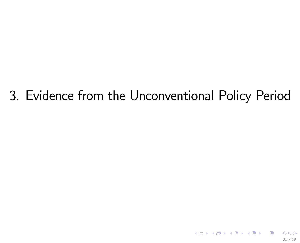# 3. Evidence from the Unconventional Policy Period

<span id="page-51-0"></span>35 / 49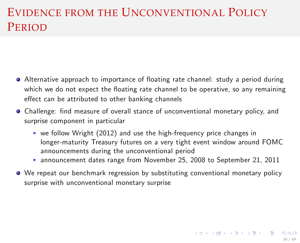## EVIDENCE FROM THE UNCONVENTIONAL POLICY PERIOD

- Alternative approach to importance of floating rate channel: study a period during which we do not expect the floating rate channel to be operative, so any remaining effect can be attributed to other banking channels
- Challenge: find measure of overall stance of unconventional monetary policy, and surprise component in particular
	- $\triangleright$  we follow Wright (2012) and use the high-frequency price changes in longer-maturity Treasury futures on a very tight event window around FOMC announcements during the unconventional period
	- $\triangleright$  announcement dates range from November 25, 2008 to September 21, 2011
- We repeat our benchmark regression by substituting conventional monetary policy surprise with unconventional monetary surprise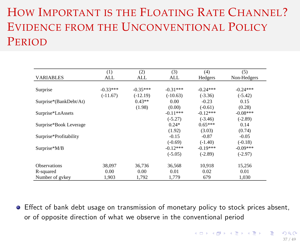# HOW IMPORTANT IS THE FLOATING RATE CHANNEL? EVIDENCE FROM THE UNCONVENTIONAL POLICY PERIOD

|                        | (1)        | (2)        | (3)        | (4)        | (5)         |
|------------------------|------------|------------|------------|------------|-------------|
| <b>VARIABLES</b>       | ALL        | ALL        | ALL        | Hedgers    | Non-Hedgers |
|                        |            |            |            |            |             |
| Surprise               | $-0.33***$ | $-0.35***$ | $-0.31***$ | $-0.24***$ | $-0.24***$  |
|                        | $(-11.67)$ | $(-12.19)$ | $(-10.63)$ | $(-3.36)$  | $(-5.42)$   |
| Surprise*(BankDebt/At) |            | $0.43**$   | 0.00       | $-0.23$    | 0.15        |
|                        |            | (1.98)     | (0.00)     | $(-0.61)$  | (0.28)      |
| Surprise*LnAssets      |            |            | $-0.11***$ | $-0.12***$ | $-0.08***$  |
|                        |            |            | $(-5.27)$  | $(-3.46)$  | $(-2.89)$   |
| Surprise*Book Leverage |            |            | $0.24*$    | $0.65***$  | 0.14        |
|                        |            |            | (1.92)     | (3.03)     | (0.74)      |
| Surprise*Profitability |            |            | $-0.15$    | $-0.87$    | $-0.05$     |
|                        |            |            | $(-0.69)$  | $(-1.40)$  | $(-0.18)$   |
| Surprise*M/B           |            |            | $-0.12***$ | $-0.19***$ | $-0.09***$  |
|                        |            |            | $(-5.05)$  | $(-2.89)$  | $(-2.97)$   |
| <b>Observations</b>    | 38,097     | 36.736     | 36.568     | 10.918     | 15,256      |
| R-squared              | 0.00       | 0.00       | 0.01       | 0.02       | 0.01        |
| Number of gykey        | 1.903      | 1,792      | 1,779      | 679        | 1.030       |

**E** Effect of bank debt usage on transmission of monetary policy to stock prices absent, or of opposite direction of what we observe in the conventional period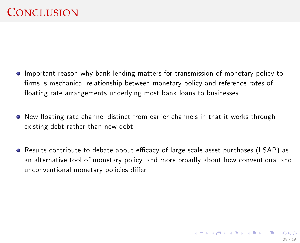- Important reason why bank lending matters for transmission of monetary policy to firms is mechanical relationship between monetary policy and reference rates of floating rate arrangements underlying most bank loans to businesses
- $\bullet$  New floating rate channel distinct from earlier channels in that it works through existing debt rather than new debt
- Results contribute to debate about efficacy of large scale asset purchases (LSAP) as an alternative tool of monetary policy, and more broadly about how conventional and unconventional monetary policies differ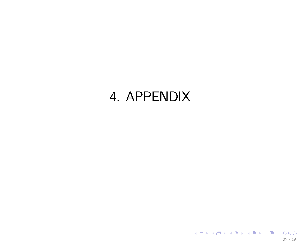# 4. APPENDIX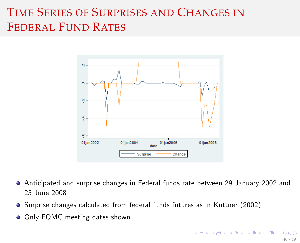## TIME SERIES OF SURPRISES AND CHANGES IN FEDERAL FUND RATES



- Anticipated and surprise changes in Federal funds rate between 29 January 2002 and 25 June 2008
- **•** Surprise changes calculated from federal funds futures as in Kuttner (2002)
- **O** Only FOMC meeting dates shown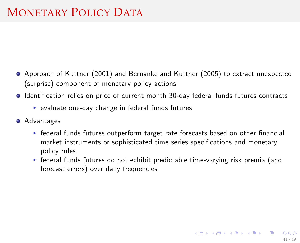## MONETARY POLICY DATA

- Approach of Kuttner (2001) and Bernanke and Kuttner (2005) to extract unexpected (surprise) component of monetary policy actions
- $\bullet$  Identification relies on price of current month 30-day federal funds futures contracts
	- $\triangleright$  evaluate one-day change in federal funds futures
- **•** Advantages
	- $\triangleright$  federal funds futures outperform target rate forecasts based on other financial market instruments or sophisticated time series specifications and monetary policy rules
	- $\triangleright$  federal funds futures do not exhibit predictable time-varying risk premia (and forecast errors) over daily frequencies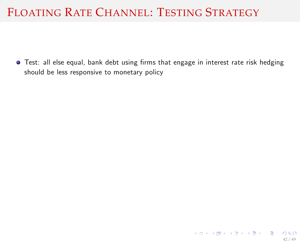## FLOATING RATE CHANNEL: TESTING STRATEGY

 $\bullet$  Test: all else equal, bank debt using firms that engage in interest rate risk hedging should be less responsive to monetary policy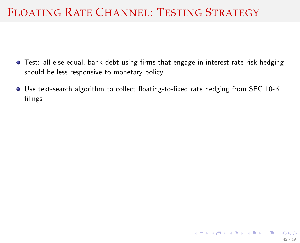## FLOATING RATE CHANNEL: TESTING STRATEGY

- **•** Test: all else equal, bank debt using firms that engage in interest rate risk hedging should be less responsive to monetary policy
- Use text-search algorithm to collect floating-to-fixed rate hedging from SEC 10-K filings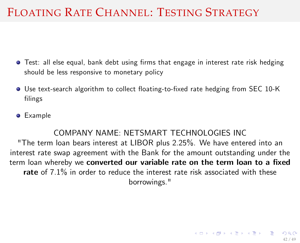## FLOATING RATE CHANNEL: TESTING STRATEGY

- **•** Test: all else equal, bank debt using firms that engage in interest rate risk hedging should be less responsive to monetary policy
- Use text-search algorithm to collect floating-to-fixed rate hedging from SEC 10-K filings
- **o** Example

#### COMPANY NAME: NETSMART TECHNOLOGIES INC

"The term loan bears interest at LIBOR plus 2.25%. We have entered into an interest rate swap agreement with the Bank for the amount outstanding under the term loan whereby we converted our variable rate on the term loan to a fixed rate of 7.1% in order to reduce the interest rate risk associated with these borrowings."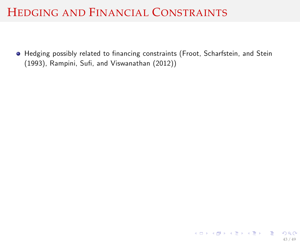$\bullet$  Hedging possibly related to financing constraints (Froot, Scharfstein, and Stein (1993), Rampini, Sufi, and Viswanathan (2012))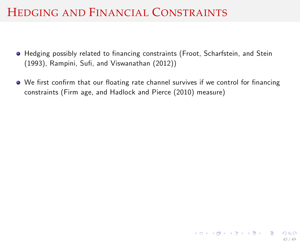- $\bullet$  Hedging possibly related to financing constraints (Froot, Scharfstein, and Stein (1993), Rampini, Sufi, and Viswanathan (2012))
- $\bullet$  We first confirm that our floating rate channel survives if we control for financing constraints (Firm age, and Hadlock and Pierce (2010) measure)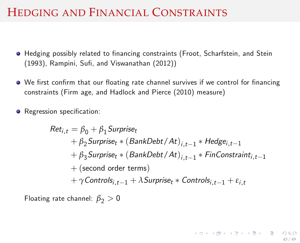- $\bullet$  Hedging possibly related to financing constraints (Froot, Scharfstein, and Stein (1993), Rampini, Sufi, and Viswanathan (2012))
- $\bullet$  We first confirm that our floating rate channel survives if we control for financing constraints (Firm age, and Hadlock and Pierce (2010) measure)
- **•** Regression specification:

$$
Ret_{i,t} = \beta_0 + \beta_1\text{Surprise}_{t} + \beta_2\text{Surprise}_{t} * (\text{BankDebt}/At)_{i,t-1} * \text{Hedge}_{i,t-1} + \beta_3\text{Surprise}_{t} * (\text{BankDebt}/At)_{i,t-1} * \text{FinConstraint}_{i,t-1} + (\text{second order terms}) + \gamma\text{Controls}_{i,t-1} + \lambda\text{Surprise}_{t} * \text{Controls}_{i,t-1} + \varepsilon_{i,t}
$$

Floating rate channel:  $\beta_2 > 0$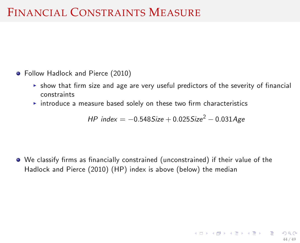## FINANCIAL CONSTRAINTS MEASURE

- Follow Hadlock and Pierce (2010)
	- $\triangleright$  show that firm size and age are very useful predictors of the severity of financial constraints
	- $\rightarrow$  introduce a measure based solely on these two firm characteristics

<span id="page-64-0"></span> $HP$  index = -0.548Size + 0.025Size<sup>2</sup> - 0.031Age

 $\bullet$  We classify firms as financially constrained (unconstrained) if their value of the Hadlock and Pierce (2010) (HP) index is above (below) the median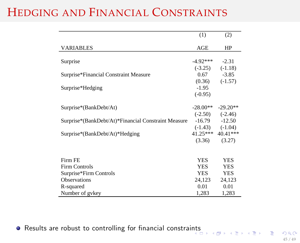|                                                     | (1)        | (2)                 |
|-----------------------------------------------------|------------|---------------------|
| <b>VARIABLES</b>                                    | AGE        | HP                  |
|                                                     |            |                     |
| Surprise                                            | $-4.92***$ | $-2.31$             |
|                                                     | $(-3.25)$  | $(-1.18)$           |
| Surprise*Financial Constraint Measure               | 0.67       | $-3.85$             |
|                                                     | (0.36)     | $(-1.57)$           |
| Surprise*Hedging                                    | $-1.95$    |                     |
|                                                     | $(-0.95)$  |                     |
|                                                     |            |                     |
| Surprise*(BankDebt/At)                              | $-28.00**$ | $-29.20**$          |
|                                                     |            | $(-2.50)$ $(-2.46)$ |
| Surprise*(BankDebt/At)*Financial Constraint Measure | $-16.79$   | $-12.50$            |
|                                                     |            | $(-1.43)$ $(-1.04)$ |
| Surprise*(BankDebt/At)*Hedging                      |            | 41.25*** 40.41***   |
|                                                     | (3.36)     | (3.27)              |
|                                                     |            |                     |
|                                                     |            |                     |
| Firm FE                                             | <b>YES</b> | <b>YES</b>          |
| <b>Firm Controls</b>                                | <b>YES</b> | <b>YES</b>          |
| Surprise*Firm Controls                              | <b>YES</b> | <b>YES</b>          |
| <b>Observations</b>                                 | 24,123     | 24,123              |
| R-squared                                           | 0.01       | 0.01                |
| Number of gykey                                     | 1,283      | 1,283               |

• Results are robust to controlling for financial constrai[nts](#page-64-0)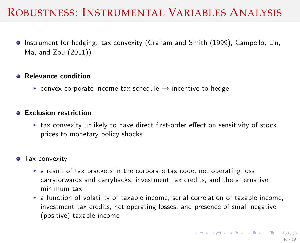### ROBUSTNESS: INSTRUMENTAL VARIABLES ANALYSIS

Instrument for hedging: tax convexity (Graham and Smith (1999), Campello, Lin, Ma, and Zou (2011))

#### **A** Relevance condition

 $\triangleright$  convex corporate income tax schedule  $\rightarrow$  incentive to hedge

#### **A** Exclusion restriction

 $\triangleright$  tax convexity unlikely to have direct first-order effect on sensitivity of stock prices to monetary policy shocks

#### **•** Tax convexity

- $\triangleright$  a result of tax brackets in the corporate tax code, net operating loss carryforwards and carrybacks, investment tax credits, and the alternative minimum tax
- $\triangleright$  a function of volatility of taxable income, serial correlation of taxable income, investment tax credits, net operating losses, and presence of small negative (positive) taxable income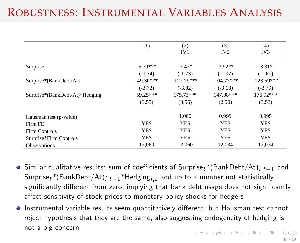## ROBUSTNESS: INSTRUMENTAL VARIABLES ANALYSIS

|                                | (1)         | (2)             | (3)             | (4)             |
|--------------------------------|-------------|-----------------|-----------------|-----------------|
|                                |             | IV <sub>1</sub> | IV <sub>2</sub> | IV <sub>3</sub> |
|                                |             |                 |                 |                 |
| Surprise                       | $-5.79***$  | $-3.43*$        | $-3.92**$       | $-3.31*$        |
|                                | $(-3.34)$   | $(-1.73)$       | $(-1.97)$       | $(-1.67)$       |
| Surprise*(BankDebt/At)         | $-49.30***$ | $-122.79***$    | $-104.77***$    | $-123.59***$    |
|                                | $(-3.72)$   | $(-3.82)$       | $(-3.18)$       | $(-3.79)$       |
| Surprise*(BankDebt/At)*Hedging | 59.25***    | 175.73***       | 147.08***       | 176.92***       |
|                                | (3.55)      | (3.56)          | (2.90)          | (3.53)          |
|                                |             |                 |                 |                 |
| Hausman test (p-value)         |             | 1.000           | 0.999           | 0.995           |
| Firm FE                        | <b>YES</b>  | <b>YES</b>      | <b>YES</b>      | <b>YES</b>      |
| Firm Controls                  | <b>YES</b>  | <b>YES</b>      | <b>YES</b>      | <b>YES</b>      |
| Surprise*Firm Controls         | <b>YES</b>  | <b>YES</b>      | <b>YES</b>      | <b>YES</b>      |
| <b>Observations</b>            | 12.060      | 12,060          | 12.034          | 12.034          |

- Similar qualitative results: sum of coefficients of Surprise<sub>t</sub>\*(BankDebt/At)<sub>it-1</sub> and Surprise<sub>t</sub>\*(BankDebt/At)<sub>i</sub> $t=1$ <sup>\*</sup>Hedging<sub>it</sub> add up to a number not statistically significantly different from zero, implying that bank debt usage does not significantly affect sensitivity of stock prices to monetary policy shocks for hedgers
- Instrumental variable results seem quantitatively different, but Hausman test cannot reject hypothesis that they are the same, also suggesting endogeneity of hedging is not a big concern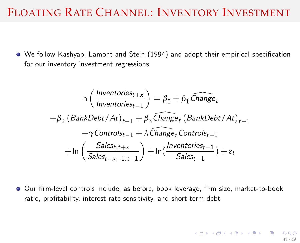### FLOATING RATE CHANNEL: INVENTORY INVESTMENT

O We follow Kashyap, Lamont and Stein (1994) and adopt their empirical specification for our inventory investment regressions:

$$
\ln\left(\frac{Inventories_{t+x}}{Inventories_{t-1}}\right) = \beta_0 + \beta_1 \widehat{Change}_t
$$
\n
$$
+\beta_2 \left(BankDebt/At\right)_{t-1} + \beta_3 \widehat{Change}_t \left(BankDebt/At\right)_{t-1} + \gamma \text{Controls}_{t-1} + \lambda \widehat{Change}_t \text{Controls}_{t-1}
$$
\n
$$
+\ln\left(\frac{Sales_{t,t+x}}{Sales_{t-x-1,t-1}}\right) + \ln\left(\frac{Inventories_{t-1}}{Sales_{t-1}}\right) + \epsilon_t
$$

Our firm-level controls include, as before, book leverage, firm size, market-to-book ratio, profitability, interest rate sensitivity, and short-term debt